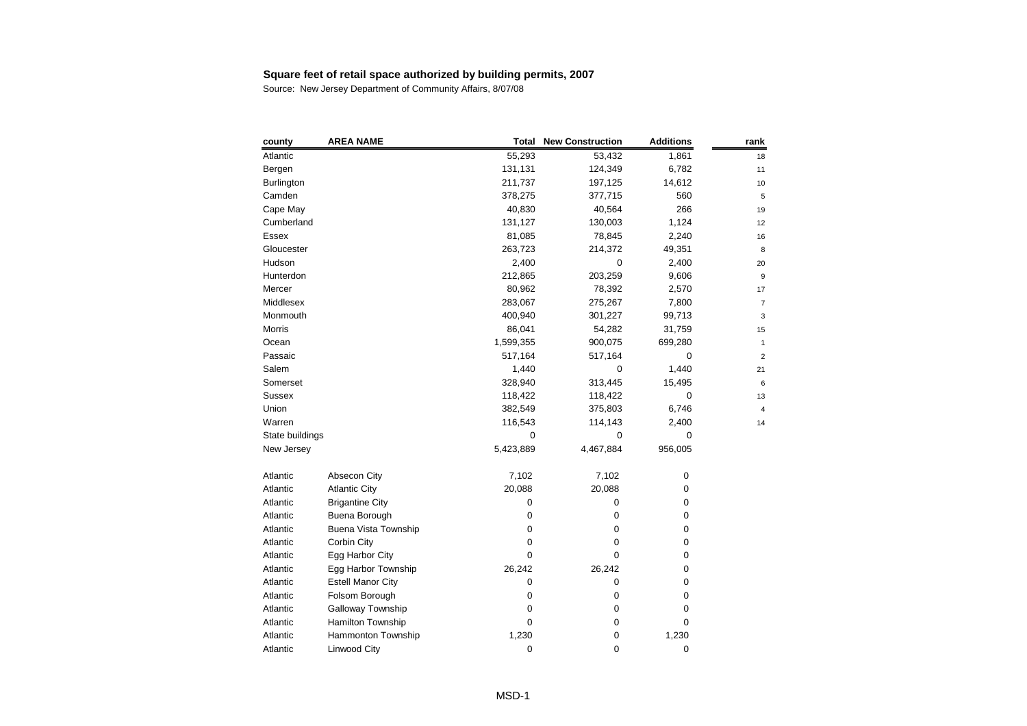| 55,293<br>53,432<br>1,861<br>18<br>131,131<br>124,349<br>6,782<br>11<br>211,737<br>197,125<br>14,612<br>10<br>560<br>378,275<br>377,715<br>5<br>266<br>40,830<br>40,564<br>19<br>Cumberland<br>131,127<br>130,003<br>1,124<br>12<br>81,085<br>78,845<br>2,240<br>16<br>263,723<br>214,372<br>49,351<br>8<br>2,400<br>0<br>2,400<br>20<br>203,259<br>212,865<br>9,606<br>$\boldsymbol{9}$<br>80,962<br>78,392<br>2,570<br>17<br>283,067<br>275,267<br>7,800<br>$\overline{7}$<br>400,940<br>301,227<br>99,713<br>3<br>86,041<br>54,282<br>31,759<br>15<br>1,599,355<br>900,075<br>699,280<br>$\mathbf{1}$<br>517,164<br>517,164<br>0<br>$\overline{2}$<br>1,440<br>1,440<br>0<br>21<br>313,445<br>328,940<br>15,495<br>6<br>118,422<br>118,422<br>0<br>13<br>382,549<br>6,746<br>375,803<br>$\overline{4}$<br>116,543<br>2,400<br>114,143<br>14<br>State buildings<br>0<br>$\mathbf 0$<br>$\mathbf 0$<br>5,423,889<br>4,467,884<br>956,005<br>7,102<br>7,102<br>0<br>Absecon City<br>20,088<br>20,088<br><b>Atlantic City</b><br>0<br>$\mathbf 0$<br><b>Brigantine City</b><br>0<br>0<br>Buena Borough<br>$\mathbf 0$<br>0<br>0<br><b>Buena Vista Township</b><br>$\mathbf 0$<br>0<br>0<br>Corbin City<br>0<br>0<br>0<br>$\mathbf 0$<br>0<br>0<br>Egg Harbor City<br>26,242<br>26,242<br>0<br>Egg Harbor Township<br><b>Estell Manor City</b><br>$\mathbf 0$<br>0<br>0<br>$\mathbf 0$<br>Folsom Borough<br>0<br>0<br>Galloway Township<br>$\mathbf 0$<br>0<br>0<br>Hamilton Township<br>$\mathbf 0$<br>0<br>0<br>1,230<br>Hammonton Township<br>0<br>1,230<br>$\mathbf 0$<br>0<br>0<br>Linwood City | county            | <b>AREA NAME</b> | Total | <b>New Construction</b> | <b>Additions</b> | rank |
|----------------------------------------------------------------------------------------------------------------------------------------------------------------------------------------------------------------------------------------------------------------------------------------------------------------------------------------------------------------------------------------------------------------------------------------------------------------------------------------------------------------------------------------------------------------------------------------------------------------------------------------------------------------------------------------------------------------------------------------------------------------------------------------------------------------------------------------------------------------------------------------------------------------------------------------------------------------------------------------------------------------------------------------------------------------------------------------------------------------------------------------------------------------------------------------------------------------------------------------------------------------------------------------------------------------------------------------------------------------------------------------------------------------------------------------------------------------------------------------------------------------------------------------------------------------------------------------------------|-------------------|------------------|-------|-------------------------|------------------|------|
|                                                                                                                                                                                                                                                                                                                                                                                                                                                                                                                                                                                                                                                                                                                                                                                                                                                                                                                                                                                                                                                                                                                                                                                                                                                                                                                                                                                                                                                                                                                                                                                                    | Atlantic          |                  |       |                         |                  |      |
|                                                                                                                                                                                                                                                                                                                                                                                                                                                                                                                                                                                                                                                                                                                                                                                                                                                                                                                                                                                                                                                                                                                                                                                                                                                                                                                                                                                                                                                                                                                                                                                                    | Bergen            |                  |       |                         |                  |      |
|                                                                                                                                                                                                                                                                                                                                                                                                                                                                                                                                                                                                                                                                                                                                                                                                                                                                                                                                                                                                                                                                                                                                                                                                                                                                                                                                                                                                                                                                                                                                                                                                    | <b>Burlington</b> |                  |       |                         |                  |      |
|                                                                                                                                                                                                                                                                                                                                                                                                                                                                                                                                                                                                                                                                                                                                                                                                                                                                                                                                                                                                                                                                                                                                                                                                                                                                                                                                                                                                                                                                                                                                                                                                    | Camden            |                  |       |                         |                  |      |
|                                                                                                                                                                                                                                                                                                                                                                                                                                                                                                                                                                                                                                                                                                                                                                                                                                                                                                                                                                                                                                                                                                                                                                                                                                                                                                                                                                                                                                                                                                                                                                                                    | Cape May          |                  |       |                         |                  |      |
|                                                                                                                                                                                                                                                                                                                                                                                                                                                                                                                                                                                                                                                                                                                                                                                                                                                                                                                                                                                                                                                                                                                                                                                                                                                                                                                                                                                                                                                                                                                                                                                                    |                   |                  |       |                         |                  |      |
|                                                                                                                                                                                                                                                                                                                                                                                                                                                                                                                                                                                                                                                                                                                                                                                                                                                                                                                                                                                                                                                                                                                                                                                                                                                                                                                                                                                                                                                                                                                                                                                                    | Essex             |                  |       |                         |                  |      |
|                                                                                                                                                                                                                                                                                                                                                                                                                                                                                                                                                                                                                                                                                                                                                                                                                                                                                                                                                                                                                                                                                                                                                                                                                                                                                                                                                                                                                                                                                                                                                                                                    | Gloucester        |                  |       |                         |                  |      |
|                                                                                                                                                                                                                                                                                                                                                                                                                                                                                                                                                                                                                                                                                                                                                                                                                                                                                                                                                                                                                                                                                                                                                                                                                                                                                                                                                                                                                                                                                                                                                                                                    | Hudson            |                  |       |                         |                  |      |
|                                                                                                                                                                                                                                                                                                                                                                                                                                                                                                                                                                                                                                                                                                                                                                                                                                                                                                                                                                                                                                                                                                                                                                                                                                                                                                                                                                                                                                                                                                                                                                                                    | Hunterdon         |                  |       |                         |                  |      |
|                                                                                                                                                                                                                                                                                                                                                                                                                                                                                                                                                                                                                                                                                                                                                                                                                                                                                                                                                                                                                                                                                                                                                                                                                                                                                                                                                                                                                                                                                                                                                                                                    | Mercer            |                  |       |                         |                  |      |
|                                                                                                                                                                                                                                                                                                                                                                                                                                                                                                                                                                                                                                                                                                                                                                                                                                                                                                                                                                                                                                                                                                                                                                                                                                                                                                                                                                                                                                                                                                                                                                                                    | Middlesex         |                  |       |                         |                  |      |
|                                                                                                                                                                                                                                                                                                                                                                                                                                                                                                                                                                                                                                                                                                                                                                                                                                                                                                                                                                                                                                                                                                                                                                                                                                                                                                                                                                                                                                                                                                                                                                                                    | Monmouth          |                  |       |                         |                  |      |
|                                                                                                                                                                                                                                                                                                                                                                                                                                                                                                                                                                                                                                                                                                                                                                                                                                                                                                                                                                                                                                                                                                                                                                                                                                                                                                                                                                                                                                                                                                                                                                                                    | Morris            |                  |       |                         |                  |      |
|                                                                                                                                                                                                                                                                                                                                                                                                                                                                                                                                                                                                                                                                                                                                                                                                                                                                                                                                                                                                                                                                                                                                                                                                                                                                                                                                                                                                                                                                                                                                                                                                    | Ocean             |                  |       |                         |                  |      |
|                                                                                                                                                                                                                                                                                                                                                                                                                                                                                                                                                                                                                                                                                                                                                                                                                                                                                                                                                                                                                                                                                                                                                                                                                                                                                                                                                                                                                                                                                                                                                                                                    | Passaic           |                  |       |                         |                  |      |
|                                                                                                                                                                                                                                                                                                                                                                                                                                                                                                                                                                                                                                                                                                                                                                                                                                                                                                                                                                                                                                                                                                                                                                                                                                                                                                                                                                                                                                                                                                                                                                                                    | Salem             |                  |       |                         |                  |      |
|                                                                                                                                                                                                                                                                                                                                                                                                                                                                                                                                                                                                                                                                                                                                                                                                                                                                                                                                                                                                                                                                                                                                                                                                                                                                                                                                                                                                                                                                                                                                                                                                    | Somerset          |                  |       |                         |                  |      |
|                                                                                                                                                                                                                                                                                                                                                                                                                                                                                                                                                                                                                                                                                                                                                                                                                                                                                                                                                                                                                                                                                                                                                                                                                                                                                                                                                                                                                                                                                                                                                                                                    | <b>Sussex</b>     |                  |       |                         |                  |      |
|                                                                                                                                                                                                                                                                                                                                                                                                                                                                                                                                                                                                                                                                                                                                                                                                                                                                                                                                                                                                                                                                                                                                                                                                                                                                                                                                                                                                                                                                                                                                                                                                    | Union             |                  |       |                         |                  |      |
|                                                                                                                                                                                                                                                                                                                                                                                                                                                                                                                                                                                                                                                                                                                                                                                                                                                                                                                                                                                                                                                                                                                                                                                                                                                                                                                                                                                                                                                                                                                                                                                                    | Warren            |                  |       |                         |                  |      |
|                                                                                                                                                                                                                                                                                                                                                                                                                                                                                                                                                                                                                                                                                                                                                                                                                                                                                                                                                                                                                                                                                                                                                                                                                                                                                                                                                                                                                                                                                                                                                                                                    |                   |                  |       |                         |                  |      |
|                                                                                                                                                                                                                                                                                                                                                                                                                                                                                                                                                                                                                                                                                                                                                                                                                                                                                                                                                                                                                                                                                                                                                                                                                                                                                                                                                                                                                                                                                                                                                                                                    | New Jersey        |                  |       |                         |                  |      |
|                                                                                                                                                                                                                                                                                                                                                                                                                                                                                                                                                                                                                                                                                                                                                                                                                                                                                                                                                                                                                                                                                                                                                                                                                                                                                                                                                                                                                                                                                                                                                                                                    | Atlantic          |                  |       |                         |                  |      |
|                                                                                                                                                                                                                                                                                                                                                                                                                                                                                                                                                                                                                                                                                                                                                                                                                                                                                                                                                                                                                                                                                                                                                                                                                                                                                                                                                                                                                                                                                                                                                                                                    | Atlantic          |                  |       |                         |                  |      |
|                                                                                                                                                                                                                                                                                                                                                                                                                                                                                                                                                                                                                                                                                                                                                                                                                                                                                                                                                                                                                                                                                                                                                                                                                                                                                                                                                                                                                                                                                                                                                                                                    | Atlantic          |                  |       |                         |                  |      |
|                                                                                                                                                                                                                                                                                                                                                                                                                                                                                                                                                                                                                                                                                                                                                                                                                                                                                                                                                                                                                                                                                                                                                                                                                                                                                                                                                                                                                                                                                                                                                                                                    | Atlantic          |                  |       |                         |                  |      |
|                                                                                                                                                                                                                                                                                                                                                                                                                                                                                                                                                                                                                                                                                                                                                                                                                                                                                                                                                                                                                                                                                                                                                                                                                                                                                                                                                                                                                                                                                                                                                                                                    | Atlantic          |                  |       |                         |                  |      |
|                                                                                                                                                                                                                                                                                                                                                                                                                                                                                                                                                                                                                                                                                                                                                                                                                                                                                                                                                                                                                                                                                                                                                                                                                                                                                                                                                                                                                                                                                                                                                                                                    | Atlantic          |                  |       |                         |                  |      |
|                                                                                                                                                                                                                                                                                                                                                                                                                                                                                                                                                                                                                                                                                                                                                                                                                                                                                                                                                                                                                                                                                                                                                                                                                                                                                                                                                                                                                                                                                                                                                                                                    | Atlantic          |                  |       |                         |                  |      |
|                                                                                                                                                                                                                                                                                                                                                                                                                                                                                                                                                                                                                                                                                                                                                                                                                                                                                                                                                                                                                                                                                                                                                                                                                                                                                                                                                                                                                                                                                                                                                                                                    | Atlantic          |                  |       |                         |                  |      |
|                                                                                                                                                                                                                                                                                                                                                                                                                                                                                                                                                                                                                                                                                                                                                                                                                                                                                                                                                                                                                                                                                                                                                                                                                                                                                                                                                                                                                                                                                                                                                                                                    | Atlantic          |                  |       |                         |                  |      |
|                                                                                                                                                                                                                                                                                                                                                                                                                                                                                                                                                                                                                                                                                                                                                                                                                                                                                                                                                                                                                                                                                                                                                                                                                                                                                                                                                                                                                                                                                                                                                                                                    | Atlantic          |                  |       |                         |                  |      |
|                                                                                                                                                                                                                                                                                                                                                                                                                                                                                                                                                                                                                                                                                                                                                                                                                                                                                                                                                                                                                                                                                                                                                                                                                                                                                                                                                                                                                                                                                                                                                                                                    | Atlantic          |                  |       |                         |                  |      |
|                                                                                                                                                                                                                                                                                                                                                                                                                                                                                                                                                                                                                                                                                                                                                                                                                                                                                                                                                                                                                                                                                                                                                                                                                                                                                                                                                                                                                                                                                                                                                                                                    | Atlantic          |                  |       |                         |                  |      |
|                                                                                                                                                                                                                                                                                                                                                                                                                                                                                                                                                                                                                                                                                                                                                                                                                                                                                                                                                                                                                                                                                                                                                                                                                                                                                                                                                                                                                                                                                                                                                                                                    | Atlantic          |                  |       |                         |                  |      |
|                                                                                                                                                                                                                                                                                                                                                                                                                                                                                                                                                                                                                                                                                                                                                                                                                                                                                                                                                                                                                                                                                                                                                                                                                                                                                                                                                                                                                                                                                                                                                                                                    | Atlantic          |                  |       |                         |                  |      |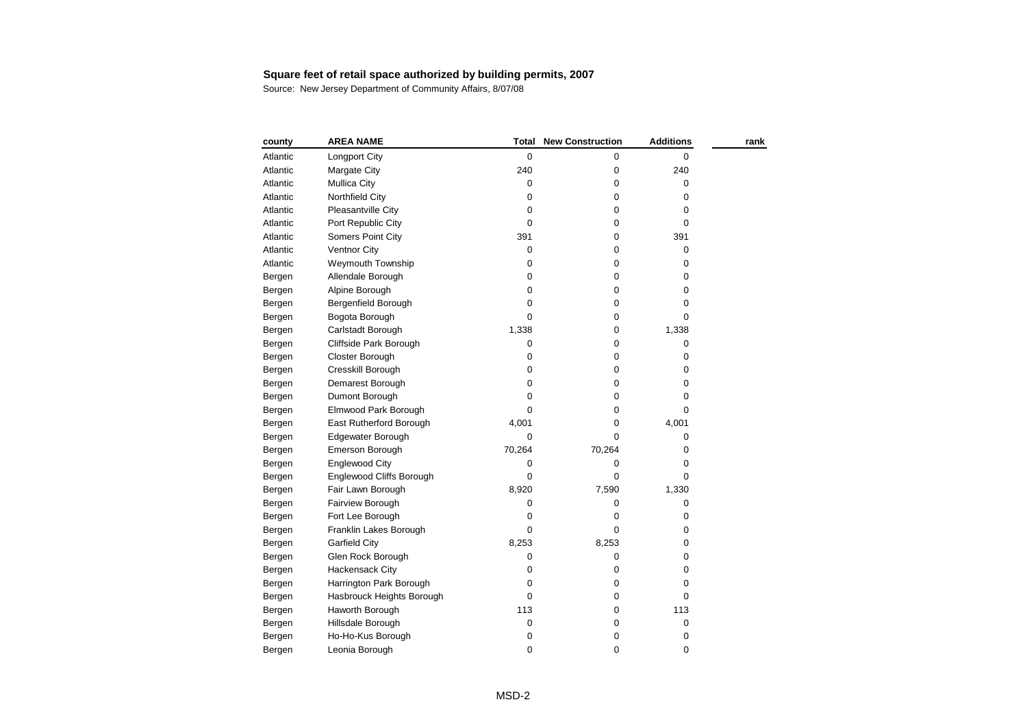| county   | <b>AREA NAME</b>          | Total     | <b>New Construction</b> | <b>Additions</b> | rank |
|----------|---------------------------|-----------|-------------------------|------------------|------|
| Atlantic | <b>Longport City</b>      | 0         | 0                       | 0                |      |
| Atlantic | Margate City              | 240       | 0                       | 240              |      |
| Atlantic | <b>Mullica City</b>       | 0         | 0                       | $\pmb{0}$        |      |
| Atlantic | Northfield City           | 0         | 0                       | 0                |      |
| Atlantic | Pleasantville City        | 0         | 0                       | 0                |      |
| Atlantic | Port Republic City        | 0         | 0                       | 0                |      |
| Atlantic | Somers Point City         | 391       | 0                       | 391              |      |
| Atlantic | Ventnor City              | 0         | 0                       | 0                |      |
| Atlantic | Weymouth Township         | 0         | 0                       | 0                |      |
| Bergen   | Allendale Borough         | $\pmb{0}$ | 0                       | 0                |      |
| Bergen   | Alpine Borough            | 0         | 0                       | 0                |      |
| Bergen   | Bergenfield Borough       | 0         | 0                       | 0                |      |
| Bergen   | Bogota Borough            | $\Omega$  | 0                       | 0                |      |
| Bergen   | Carlstadt Borough         | 1,338     | 0                       | 1,338            |      |
| Bergen   | Cliffside Park Borough    | 0         | 0                       | 0                |      |
| Bergen   | Closter Borough           | $\pmb{0}$ | 0                       | 0                |      |
| Bergen   | Cresskill Borough         | 0         | 0                       | 0                |      |
| Bergen   | Demarest Borough          | 0         | 0                       | 0                |      |
| Bergen   | Dumont Borough            | 0         | 0                       | 0                |      |
| Bergen   | Elmwood Park Borough      | 0         | 0                       | 0                |      |
| Bergen   | East Rutherford Borough   | 4,001     | 0                       | 4,001            |      |
| Bergen   | Edgewater Borough         | 0         | 0                       | 0                |      |
| Bergen   | Emerson Borough           | 70,264    | 70,264                  | 0                |      |
| Bergen   | Englewood City            | 0         | 0                       | 0                |      |
| Bergen   | Englewood Cliffs Borough  | 0         | 0                       | 0                |      |
| Bergen   | Fair Lawn Borough         | 8,920     | 7,590                   | 1,330            |      |
| Bergen   | Fairview Borough          | 0         | 0                       | 0                |      |
| Bergen   | Fort Lee Borough          | 0         | 0                       | 0                |      |
| Bergen   | Franklin Lakes Borough    | 0         | 0                       | 0                |      |
| Bergen   | <b>Garfield City</b>      | 8,253     | 8,253                   | 0                |      |
| Bergen   | Glen Rock Borough         | 0         | 0                       | 0                |      |
| Bergen   | <b>Hackensack City</b>    | 0         | 0                       | 0                |      |
| Bergen   | Harrington Park Borough   | 0         | 0                       | 0                |      |
| Bergen   | Hasbrouck Heights Borough | 0         | 0                       | 0                |      |
| Bergen   | Haworth Borough           | 113       | 0                       | 113              |      |
| Bergen   | Hillsdale Borough         | $\pmb{0}$ | 0                       | 0                |      |
| Bergen   | Ho-Ho-Kus Borough         | 0         | 0                       | 0                |      |
| Bergen   | Leonia Borough            | 0         | 0                       | 0                |      |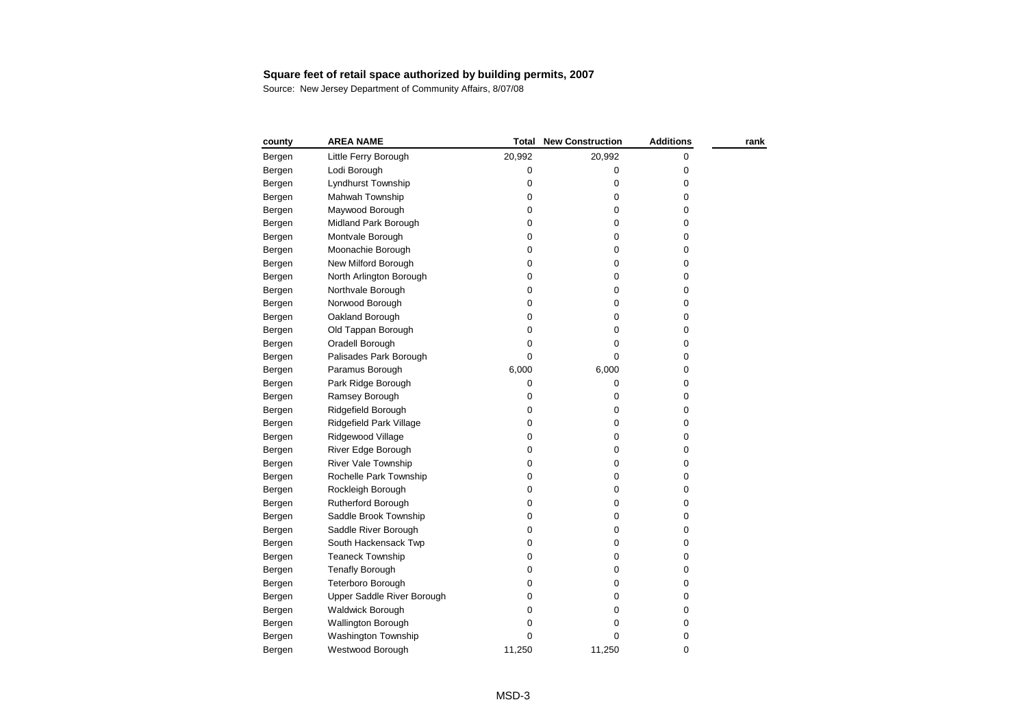| county | <b>AREA NAME</b>           | Total     | <b>New Construction</b> | <b>Additions</b> | rank |
|--------|----------------------------|-----------|-------------------------|------------------|------|
| Bergen | Little Ferry Borough       | 20,992    | 20,992                  | 0                |      |
| Bergen | Lodi Borough               | $\pmb{0}$ | 0                       | 0                |      |
| Bergen | Lyndhurst Township         | 0         | $\pmb{0}$               | 0                |      |
| Bergen | Mahwah Township            | 0         | $\mathbf 0$             | 0                |      |
| Bergen | Maywood Borough            | 0         | $\pmb{0}$               | 0                |      |
| Bergen | Midland Park Borough       | 0         | 0                       | 0                |      |
| Bergen | Montvale Borough           | 0         | 0                       | 0                |      |
| Bergen | Moonachie Borough          | 0         | $\mathbf 0$             | 0                |      |
| Bergen | New Milford Borough        | 0         | $\pmb{0}$               | 0                |      |
| Bergen | North Arlington Borough    | $\pmb{0}$ | 0                       | 0                |      |
| Bergen | Northvale Borough          | 0         | $\pmb{0}$               | 0                |      |
| Bergen | Norwood Borough            | $\pmb{0}$ | 0                       | 0                |      |
| Bergen | Oakland Borough            | 0         | $\pmb{0}$               | 0                |      |
| Bergen | Old Tappan Borough         | 0         | $\pmb{0}$               | 0                |      |
| Bergen | Oradell Borough            | 0         | $\pmb{0}$               | 0                |      |
| Bergen | Palisades Park Borough     | 0         | 0                       | 0                |      |
| Bergen | Paramus Borough            | 6,000     | 6,000                   | 0                |      |
| Bergen | Park Ridge Borough         | 0         | 0                       | 0                |      |
| Bergen | Ramsey Borough             | 0         | $\pmb{0}$               | 0                |      |
| Bergen | Ridgefield Borough         | 0         | 0                       | 0                |      |
| Bergen | Ridgefield Park Village    | 0         | $\pmb{0}$               | 0                |      |
| Bergen | Ridgewood Village          | 0         | 0                       | 0                |      |
| Bergen | River Edge Borough         | 0         | $\pmb{0}$               | 0                |      |
| Bergen | <b>River Vale Township</b> | 0         | 0                       | 0                |      |
| Bergen | Rochelle Park Township     | 0         | $\pmb{0}$               | 0                |      |
| Bergen | Rockleigh Borough          | 0         | $\pmb{0}$               | 0                |      |
| Bergen | Rutherford Borough         | 0         | $\pmb{0}$               | 0                |      |
| Bergen | Saddle Brook Township      | 0         | $\pmb{0}$               | 0                |      |
| Bergen | Saddle River Borough       | 0         | $\pmb{0}$               | 0                |      |
| Bergen | South Hackensack Twp       | 0         | $\mathbf 0$             | 0                |      |
| Bergen | <b>Teaneck Township</b>    | 0         | 0                       | 0                |      |
| Bergen | <b>Tenafly Borough</b>     | 0         | $\mathbf 0$             | 0                |      |
| Bergen | Teterboro Borough          | 0         | $\pmb{0}$               | 0                |      |
| Bergen | Upper Saddle River Borough | 0         | $\pmb{0}$               | 0                |      |
| Bergen | <b>Waldwick Borough</b>    | $\pmb{0}$ | 0                       | 0                |      |
| Bergen | Wallington Borough         | 0         | 0                       | 0                |      |
| Bergen | Washington Township        | 0         | 0                       | 0                |      |
| Bergen | Westwood Borough           | 11,250    | 11,250                  | 0                |      |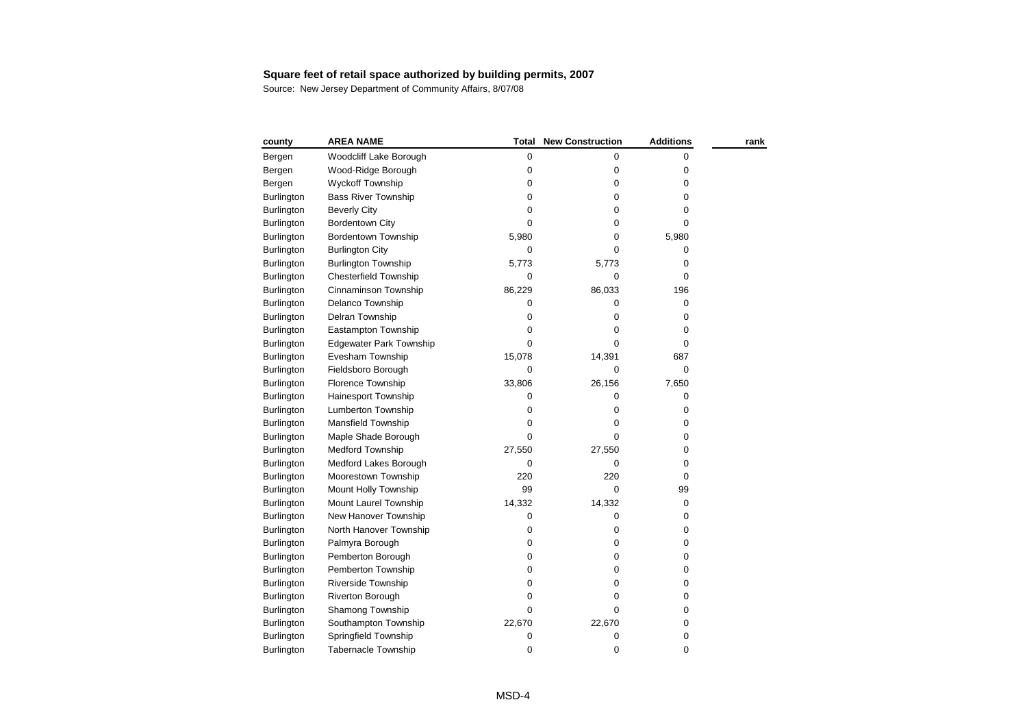| Woodcliff Lake Borough<br>0<br>Bergen<br>Wood-Ridge Borough<br>0<br>Bergen | 0<br>$\mathbf 0$ | 0           |  |
|----------------------------------------------------------------------------|------------------|-------------|--|
|                                                                            |                  |             |  |
|                                                                            |                  | 0           |  |
| <b>Wyckoff Township</b><br>0<br>Bergen                                     | 0                | 0           |  |
| <b>Bass River Township</b><br>0<br>Burlington                              | 0                | 0           |  |
| 0<br><b>Beverly City</b><br><b>Burlington</b>                              | 0                | 0           |  |
| 0<br><b>Burlington</b><br>Bordentown City                                  | 0                | 0           |  |
| <b>Bordentown Township</b><br><b>Burlington</b><br>5,980                   | 0                | 5,980       |  |
| <b>Burlington City</b><br><b>Burlington</b><br>0                           | 0                | 0           |  |
| <b>Burlington Township</b><br>5,773<br><b>Burlington</b>                   | 5,773            | 0           |  |
| <b>Chesterfield Township</b><br>Burlington<br>0                            | $\mathbf 0$      | $\mathbf 0$ |  |
| Cinnaminson Township<br>86,229<br><b>Burlington</b>                        | 86,033           | 196         |  |
| Delanco Township<br><b>Burlington</b><br>0                                 | 0                | 0           |  |
| Delran Township<br>0<br><b>Burlington</b>                                  | 0                | 0           |  |
| Eastampton Township<br>0<br>Burlington                                     | 0                | 0           |  |
| <b>Edgewater Park Township</b><br>0<br>Burlington                          | 0                | 0           |  |
| Evesham Township<br>15,078<br><b>Burlington</b>                            | 14,391           | 687         |  |
| Fieldsboro Borough<br><b>Burlington</b><br>0                               | 0                | 0           |  |
| Florence Township<br>33,806<br><b>Burlington</b>                           | 26,156           | 7,650       |  |
| Hainesport Township<br><b>Burlington</b><br>0                              | 0                | 0           |  |
| Lumberton Township<br>0<br><b>Burlington</b>                               | 0                | 0           |  |
| Mansfield Township<br>0<br><b>Burlington</b>                               | $\mathbf 0$      | 0           |  |
| 0<br><b>Burlington</b><br>Maple Shade Borough                              | 0                | 0           |  |
| <b>Medford Township</b><br>27,550<br><b>Burlington</b>                     | 27,550           | 0           |  |
| Medford Lakes Borough<br><b>Burlington</b><br>0                            | $\Omega$         | 0           |  |
| Moorestown Township<br>220<br><b>Burlington</b>                            | 220              | 0           |  |
| 99<br>Mount Holly Township<br>Burlington                                   | 0                | 99          |  |
| Mount Laurel Township<br>14,332<br><b>Burlington</b>                       | 14,332           | 0           |  |
| New Hanover Township<br><b>Burlington</b><br>0                             | 0                | 0           |  |
| North Hanover Township<br>0<br><b>Burlington</b>                           | 0                | 0           |  |
| Burlington<br>Palmyra Borough<br>0                                         | 0                | 0           |  |
| <b>Burlington</b><br>Pemberton Borough<br>0                                | 0                | 0           |  |
| Pemberton Township<br>0<br><b>Burlington</b>                               | 0                | 0           |  |
| Riverside Township<br>$\pmb{0}$<br><b>Burlington</b>                       | $\mathbf 0$      | 0           |  |
| Riverton Borough<br>0<br><b>Burlington</b>                                 | 0                | 0           |  |
| Shamong Township<br>$\Omega$<br><b>Burlington</b>                          | 0                | 0           |  |
| Southampton Township<br>22,670<br><b>Burlington</b>                        | 22,670           | 0           |  |
| Springfield Township<br><b>Burlington</b><br>0                             | 0                | 0           |  |
| 0<br><b>Tabernacle Township</b><br><b>Burlington</b>                       | 0                | 0           |  |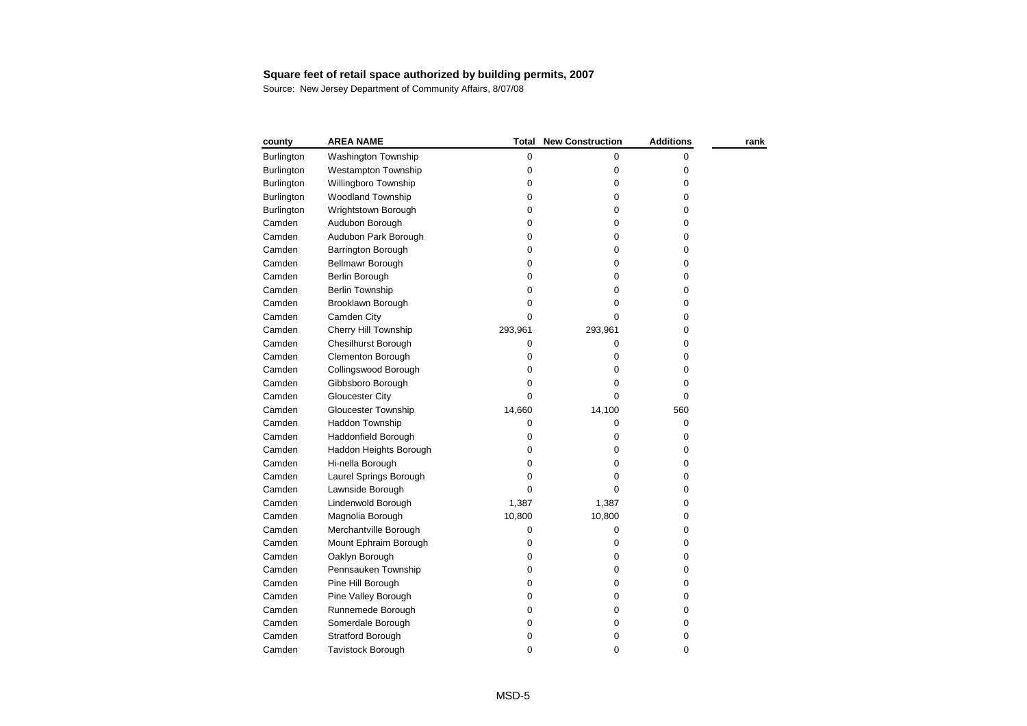| county            | <b>AREA NAME</b>           | Total       | <b>New Construction</b> | <b>Additions</b> | rank |
|-------------------|----------------------------|-------------|-------------------------|------------------|------|
| <b>Burlington</b> | <b>Washington Township</b> | 0           | 0                       | 0                |      |
| <b>Burlington</b> | <b>Westampton Township</b> | 0           | $\pmb{0}$               | 0                |      |
| Burlington        | Willingboro Township       | 0           | $\pmb{0}$               | 0                |      |
| <b>Burlington</b> | <b>Woodland Township</b>   | $\mathbf 0$ | $\mathbf 0$             | 0                |      |
| <b>Burlington</b> | Wrightstown Borough        | 0           | $\pmb{0}$               | 0                |      |
| Camden            | Audubon Borough            | 0           | 0                       | 0                |      |
| Camden            | Audubon Park Borough       | 0           | 0                       | 0                |      |
| Camden            | Barrington Borough         | 0           | 0                       | 0                |      |
| Camden            | <b>Bellmawr Borough</b>    | 0           | $\mathbf 0$             | 0                |      |
| Camden            | Berlin Borough             | 0           | 0                       | 0                |      |
| Camden            | <b>Berlin Township</b>     | $\pmb{0}$   | 0                       | 0                |      |
| Camden            | Brooklawn Borough          | 0           | 0                       | 0                |      |
| Camden            | Camden City                | $\mathbf 0$ | $\mathbf 0$             | 0                |      |
| Camden            | Cherry Hill Township       | 293,961     | 293,961                 | 0                |      |
| Camden            | <b>Chesilhurst Borough</b> | 0           | 0                       | 0                |      |
| Camden            | <b>Clementon Borough</b>   | 0           | 0                       | 0                |      |
| Camden            | Collingswood Borough       | 0           | 0                       | 0                |      |
| Camden            | Gibbsboro Borough          | 0           | 0                       | 0                |      |
| Camden            | <b>Gloucester City</b>     | 0           | 0                       | $\mathbf 0$      |      |
| Camden            | Gloucester Township        | 14,660      | 14,100                  | 560              |      |
| Camden            | <b>Haddon Township</b>     | 0           | 0                       | 0                |      |
| Camden            | Haddonfield Borough        | 0           | 0                       | $\mathbf 0$      |      |
| Camden            | Haddon Heights Borough     | 0           | 0                       | 0                |      |
| Camden            | Hi-nella Borough           | 0           | 0                       | 0                |      |
| Camden            | Laurel Springs Borough     | 0           | 0                       | 0                |      |
| Camden            | Lawnside Borough           | 0           | 0                       | 0                |      |
| Camden            | Lindenwold Borough         | 1,387       | 1,387                   | 0                |      |
| Camden            | Magnolia Borough           | 10,800      | 10,800                  | 0                |      |
| Camden            | Merchantville Borough      | 0           | 0                       | 0                |      |
| Camden            | Mount Ephraim Borough      | 0           | 0                       | 0                |      |
| Camden            | Oaklyn Borough             | 0           | $\mathbf 0$             | 0                |      |
| Camden            | Pennsauken Township        | 0           | $\pmb{0}$               | 0                |      |
| Camden            | Pine Hill Borough          | 0           | $\mathbf 0$             | 0                |      |
| Camden            | Pine Valley Borough        | 0           | $\mathbf 0$             | 0                |      |
| Camden            | Runnemede Borough          | 0           | $\mathbf 0$             | 0                |      |
| Camden            | Somerdale Borough          | 0           | $\mathbf 0$             | 0                |      |
| Camden            | <b>Stratford Borough</b>   | 0           | 0                       | 0                |      |
| Camden            | <b>Tavistock Borough</b>   | 0           | 0                       | 0                |      |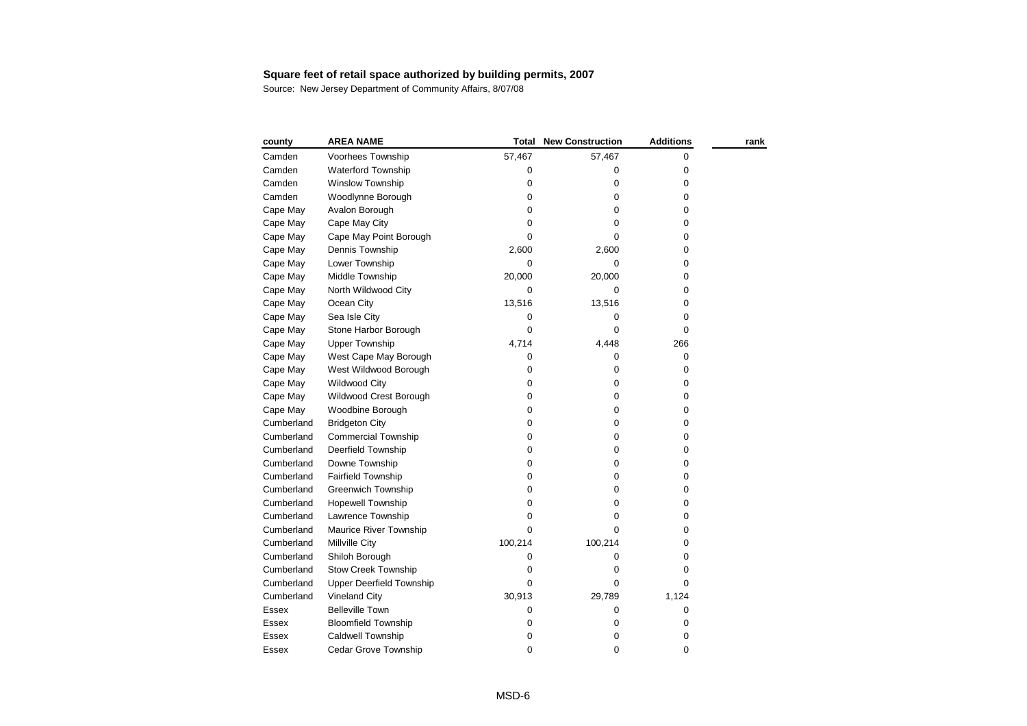| county       | <b>AREA NAME</b>                | Total       | <b>New Construction</b> | <b>Additions</b> | rank |
|--------------|---------------------------------|-------------|-------------------------|------------------|------|
| Camden       | Voorhees Township               | 57,467      | 57,467                  | 0                |      |
| Camden       | Waterford Township              | 0           | 0                       | 0                |      |
| Camden       | <b>Winslow Township</b>         | 0           | 0                       | 0                |      |
| Camden       | Woodlynne Borough               | 0           | 0                       | 0                |      |
| Cape May     | Avalon Borough                  | 0           | 0                       | 0                |      |
| Cape May     | Cape May City                   | 0           | 0                       | 0                |      |
| Cape May     | Cape May Point Borough          | 0           | 0                       | 0                |      |
| Cape May     | Dennis Township                 | 2,600       | 2,600                   | 0                |      |
| Cape May     | Lower Township                  | 0           | 0                       | 0                |      |
| Cape May     | Middle Township                 | 20,000      | 20,000                  | 0                |      |
| Cape May     | North Wildwood City             | 0           | 0                       | 0                |      |
| Cape May     | Ocean City                      | 13,516      | 13,516                  | 0                |      |
| Cape May     | Sea Isle City                   | 0           | 0                       | 0                |      |
| Cape May     | Stone Harbor Borough            | 0           | 0                       | 0                |      |
| Cape May     | <b>Upper Township</b>           | 4,714       | 4,448                   | 266              |      |
| Cape May     | West Cape May Borough           | 0           | 0                       | 0                |      |
| Cape May     | West Wildwood Borough           | $\pmb{0}$   | 0                       | 0                |      |
| Cape May     | Wildwood City                   | 0           | 0                       | 0                |      |
| Cape May     | Wildwood Crest Borough          | 0           | 0                       | 0                |      |
| Cape May     | Woodbine Borough                | 0           | 0                       | 0                |      |
| Cumberland   | <b>Bridgeton City</b>           | 0           | 0                       | 0                |      |
| Cumberland   | <b>Commercial Township</b>      | 0           | 0                       | 0                |      |
| Cumberland   | Deerfield Township              | 0           | 0                       | 0                |      |
| Cumberland   | Downe Township                  | 0           | 0                       | 0                |      |
| Cumberland   | <b>Fairfield Township</b>       | 0           | 0                       | 0                |      |
| Cumberland   | <b>Greenwich Township</b>       | $\pmb{0}$   | 0                       | 0                |      |
| Cumberland   | <b>Hopewell Township</b>        | 0           | 0                       | 0                |      |
| Cumberland   | Lawrence Township               | 0           | 0                       | 0                |      |
| Cumberland   | Maurice River Township          | $\Omega$    | 0                       | 0                |      |
| Cumberland   | Millville City                  | 100,214     | 100,214                 | 0                |      |
| Cumberland   | Shiloh Borough                  | 0           | 0                       | 0                |      |
| Cumberland   | <b>Stow Creek Township</b>      | 0           | 0                       | 0                |      |
| Cumberland   | <b>Upper Deerfield Township</b> | 0           | 0                       | 0                |      |
| Cumberland   | <b>Vineland City</b>            | 30,913      | 29,789                  | 1,124            |      |
| Essex        | <b>Belleville Town</b>          | 0           | 0                       | 0                |      |
| Essex        | <b>Bloomfield Township</b>      | 0           | 0                       | 0                |      |
| <b>Essex</b> | <b>Caldwell Township</b>        | 0           | 0                       | 0                |      |
| Essex        | Cedar Grove Township            | $\mathbf 0$ | 0                       | 0                |      |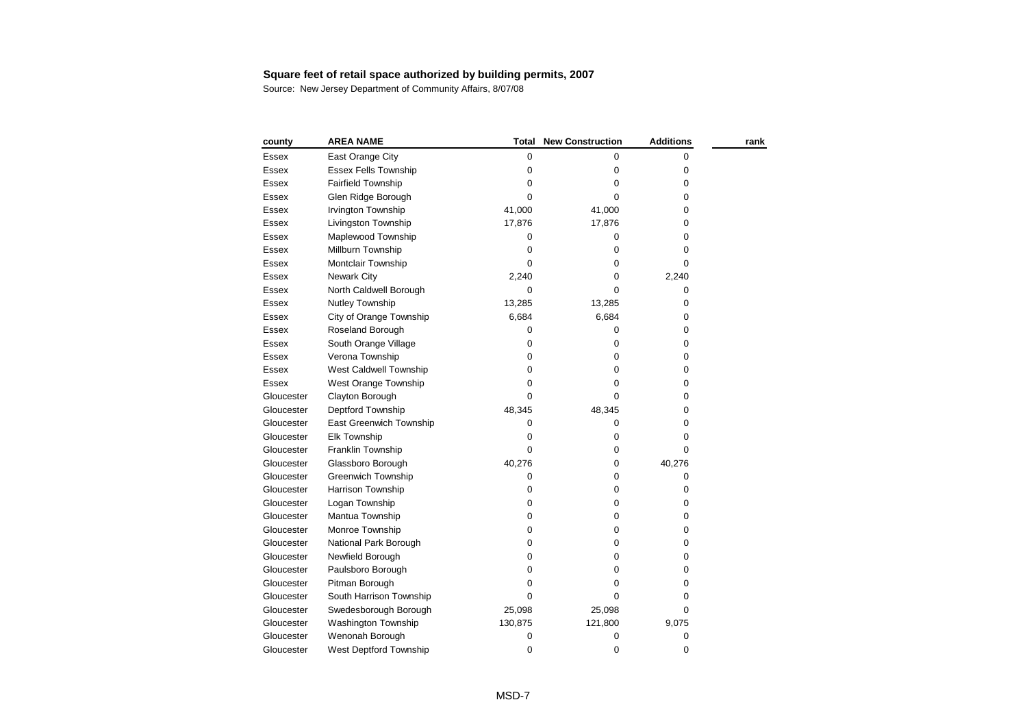| county       | <b>AREA NAME</b>            | Total     | <b>New Construction</b> | <b>Additions</b> | rank |
|--------------|-----------------------------|-----------|-------------------------|------------------|------|
| Essex        | East Orange City            | 0         | 0                       | 0                |      |
| Essex        | <b>Essex Fells Township</b> | 0         | 0                       | 0                |      |
| Essex        | <b>Fairfield Township</b>   | 0         | 0                       | 0                |      |
| Essex        | Glen Ridge Borough          | 0         | $\mathbf 0$             | 0                |      |
| Essex        | Irvington Township          | 41,000    | 41,000                  | 0                |      |
| Essex        | Livingston Township         | 17,876    | 17,876                  | 0                |      |
| Essex        | Maplewood Township          | 0         | 0                       | 0                |      |
| Essex        | Millburn Township           | 0         | 0                       | 0                |      |
| Essex        | Montclair Township          | $\Omega$  | 0                       | 0                |      |
| Essex        | <b>Newark City</b>          | 2,240     | 0                       | 2,240            |      |
| Essex        | North Caldwell Borough      | 0         | 0                       | 0                |      |
| Essex        | Nutley Township             | 13,285    | 13,285                  | 0                |      |
| Essex        | City of Orange Township     | 6,684     | 6,684                   | 0                |      |
| Essex        | Roseland Borough            | 0         | 0                       | 0                |      |
| Essex        | South Orange Village        | 0         | $\mathbf 0$             | 0                |      |
| Essex        | Verona Township             | 0         | 0                       | 0                |      |
| Essex        | West Caldwell Township      | 0         | 0                       | 0                |      |
| <b>Essex</b> | West Orange Township        | 0         | 0                       | 0                |      |
| Gloucester   | Clayton Borough             | 0         | 0                       | 0                |      |
| Gloucester   | Deptford Township           | 48,345    | 48,345                  | 0                |      |
| Gloucester   | East Greenwich Township     | 0         | 0                       | 0                |      |
| Gloucester   | <b>Elk Township</b>         | 0         | 0                       | 0                |      |
| Gloucester   | Franklin Township           | 0         | 0                       | 0                |      |
| Gloucester   | Glassboro Borough           | 40,276    | 0                       | 40,276           |      |
| Gloucester   | <b>Greenwich Township</b>   | 0         | $\mathbf 0$             | 0                |      |
| Gloucester   | Harrison Township           | 0         | 0                       | 0                |      |
| Gloucester   | Logan Township              | $\pmb{0}$ | 0                       | 0                |      |
| Gloucester   | Mantua Township             | 0         | 0                       | 0                |      |
| Gloucester   | Monroe Township             | 0         | $\mathbf 0$             | 0                |      |
| Gloucester   | National Park Borough       | 0         | 0                       | 0                |      |
| Gloucester   | Newfield Borough            | 0         | $\mathbf 0$             | 0                |      |
| Gloucester   | Paulsboro Borough           | 0         | 0                       | 0                |      |
| Gloucester   | Pitman Borough              | 0         | 0                       | 0                |      |
| Gloucester   | South Harrison Township     | $\Omega$  | $\Omega$                | 0                |      |
| Gloucester   | Swedesborough Borough       | 25,098    | 25,098                  | 0                |      |
| Gloucester   | Washington Township         | 130,875   | 121,800                 | 9,075            |      |
| Gloucester   | Wenonah Borough             | 0         | 0                       | 0                |      |
| Gloucester   | West Deptford Township      | 0         | 0                       | 0                |      |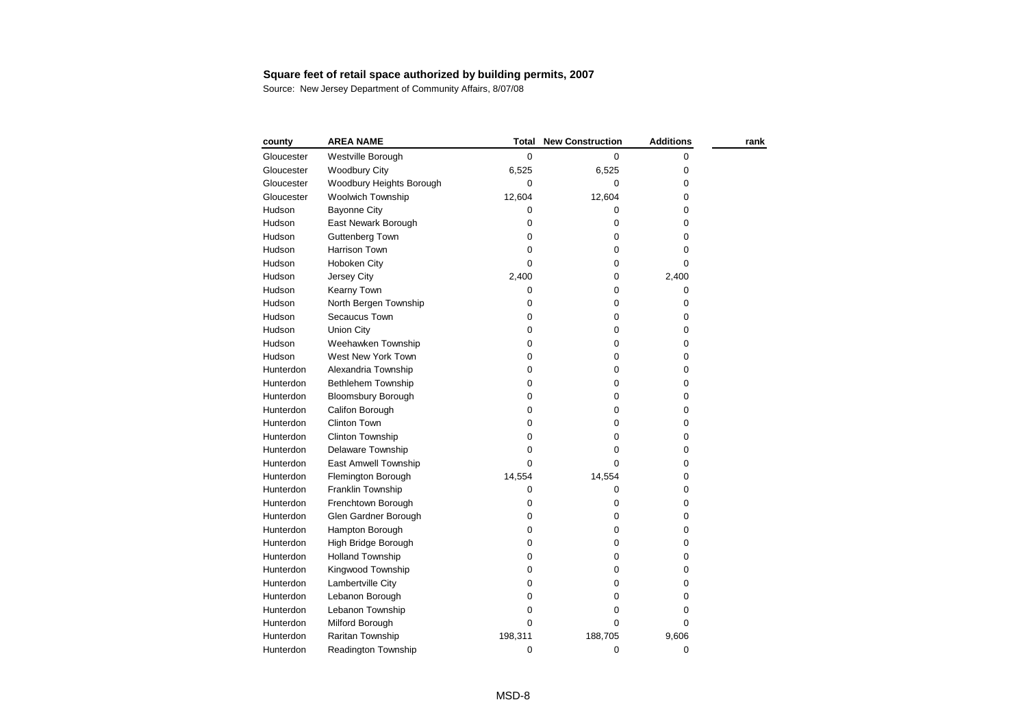| county     | <b>AREA NAME</b>          | Total       | <b>New Construction</b> | <b>Additions</b> | rank |
|------------|---------------------------|-------------|-------------------------|------------------|------|
| Gloucester | Westville Borough         | 0           | 0                       | 0                |      |
| Gloucester | <b>Woodbury City</b>      | 6,525       | 6,525                   | 0                |      |
| Gloucester | Woodbury Heights Borough  | 0           | 0                       | 0                |      |
| Gloucester | Woolwich Township         | 12,604      | 12,604                  | 0                |      |
| Hudson     | <b>Bayonne City</b>       | 0           | 0                       | 0                |      |
| Hudson     | East Newark Borough       | 0           | 0                       | 0                |      |
| Hudson     | <b>Guttenberg Town</b>    | 0           | 0                       | 0                |      |
| Hudson     | <b>Harrison Town</b>      | 0           | 0                       | 0                |      |
| Hudson     | Hoboken City              | $\Omega$    | $\boldsymbol{0}$        | 0                |      |
| Hudson     | Jersey City               | 2,400       | 0                       | 2,400            |      |
| Hudson     | Kearny Town               | 0           | $\pmb{0}$               | 0                |      |
| Hudson     | North Bergen Township     | 0           | $\pmb{0}$               | 0                |      |
| Hudson     | Secaucus Town             | 0           | 0                       | 0                |      |
| Hudson     | Union City                | 0           | 0                       | 0                |      |
| Hudson     | Weehawken Township        | 0           | 0                       | 0                |      |
| Hudson     | West New York Town        | 0           | 0                       | 0                |      |
| Hunterdon  | Alexandria Township       | 0           | 0                       | 0                |      |
| Hunterdon  | <b>Bethlehem Township</b> | 0           | 0                       | 0                |      |
| Hunterdon  | <b>Bloomsbury Borough</b> | 0           | 0                       | 0                |      |
| Hunterdon  | Califon Borough           | 0           | 0                       | 0                |      |
| Hunterdon  | <b>Clinton Town</b>       | 0           | 0                       | 0                |      |
| Hunterdon  | Clinton Township          | 0           | 0                       | 0                |      |
| Hunterdon  | Delaware Township         | $\Omega$    | 0                       | 0                |      |
| Hunterdon  | East Amwell Township      | $\Omega$    | 0                       | 0                |      |
| Hunterdon  | Flemington Borough        | 14,554      | 14,554                  | 0                |      |
| Hunterdon  | Franklin Township         | 0           | 0                       | 0                |      |
| Hunterdon  | Frenchtown Borough        | 0           | 0                       | 0                |      |
| Hunterdon  | Glen Gardner Borough      | 0           | 0                       | 0                |      |
| Hunterdon  | Hampton Borough           | 0           | 0                       | 0                |      |
| Hunterdon  | High Bridge Borough       | 0           | 0                       | 0                |      |
| Hunterdon  | <b>Holland Township</b>   | 0           | 0                       | 0                |      |
| Hunterdon  | Kingwood Township         | $\Omega$    | 0                       | 0                |      |
| Hunterdon  | Lambertville City         | 0           | 0                       | 0                |      |
| Hunterdon  | Lebanon Borough           | 0           | 0                       | 0                |      |
| Hunterdon  | Lebanon Township          | $\pmb{0}$   | 0                       | 0                |      |
| Hunterdon  | Milford Borough           | $\mathbf 0$ | 0                       | 0                |      |
| Hunterdon  | Raritan Township          | 198,311     | 188,705                 | 9,606            |      |
| Hunterdon  | Readington Township       | 0           | 0                       | 0                |      |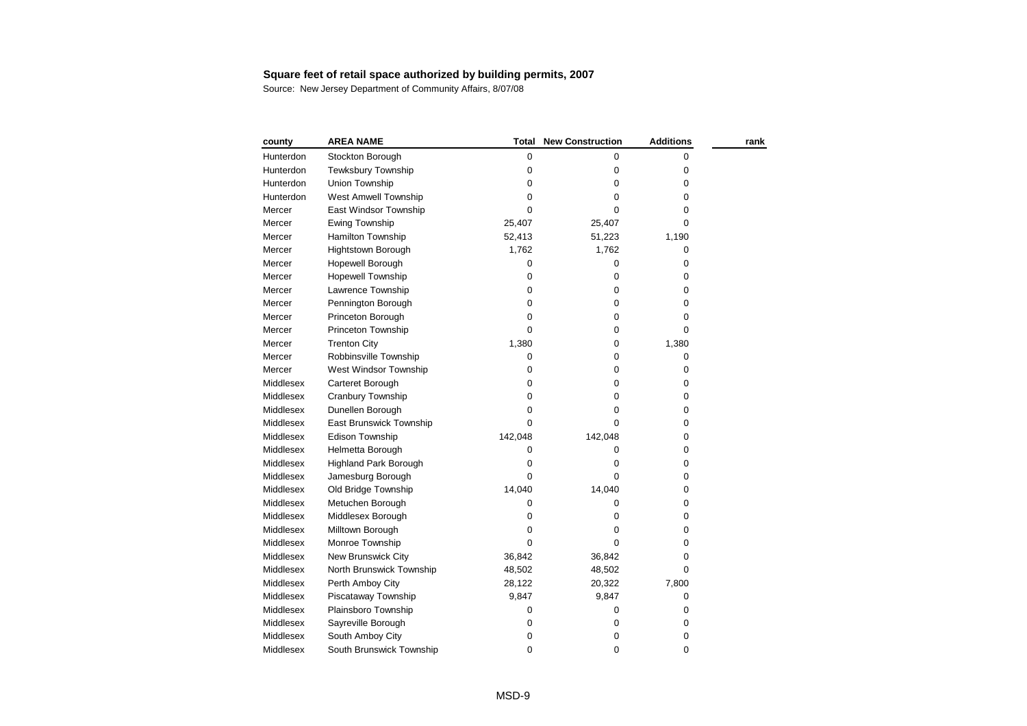| county    | <b>AREA NAME</b>             | Total     | <b>New Construction</b> | <b>Additions</b> | rank |
|-----------|------------------------------|-----------|-------------------------|------------------|------|
| Hunterdon | Stockton Borough             | 0         | 0                       | 0                |      |
| Hunterdon | <b>Tewksbury Township</b>    | 0         | 0                       | 0                |      |
| Hunterdon | Union Township               | 0         | 0                       | 0                |      |
| Hunterdon | West Amwell Township         | 0         | 0                       | 0                |      |
| Mercer    | East Windsor Township        | 0         | 0                       | 0                |      |
| Mercer    | <b>Ewing Township</b>        | 25,407    | 25,407                  | 0                |      |
| Mercer    | Hamilton Township            | 52,413    | 51,223                  | 1,190            |      |
| Mercer    | Hightstown Borough           | 1,762     | 1,762                   | 0                |      |
| Mercer    | Hopewell Borough             | 0         | 0                       | 0                |      |
| Mercer    | Hopewell Township            | 0         | 0                       | 0                |      |
| Mercer    | Lawrence Township            | $\pmb{0}$ | 0                       | 0                |      |
| Mercer    | Pennington Borough           | 0         | 0                       | 0                |      |
| Mercer    | Princeton Borough            | $\pmb{0}$ | 0                       | 0                |      |
| Mercer    | Princeton Township           | $\Omega$  | 0                       | 0                |      |
| Mercer    | <b>Trenton City</b>          | 1,380     | 0                       | 1,380            |      |
| Mercer    | Robbinsville Township        | 0         | 0                       | $\pmb{0}$        |      |
| Mercer    | West Windsor Township        | 0         | 0                       | 0                |      |
| Middlesex | Carteret Borough             | $\pmb{0}$ | 0                       | 0                |      |
| Middlesex | Cranbury Township            | $\pmb{0}$ | 0                       | 0                |      |
| Middlesex | Dunellen Borough             | 0         | 0                       | 0                |      |
| Middlesex | East Brunswick Township      | $\Omega$  | 0                       | 0                |      |
| Middlesex | Edison Township              | 142,048   | 142,048                 | 0                |      |
| Middlesex | Helmetta Borough             | 0         | 0                       | 0                |      |
| Middlesex | <b>Highland Park Borough</b> | 0         | 0                       | 0                |      |
| Middlesex | Jamesburg Borough            | $\Omega$  | 0                       | 0                |      |
| Middlesex | Old Bridge Township          | 14,040    | 14,040                  | 0                |      |
| Middlesex | Metuchen Borough             | 0         | 0                       | 0                |      |
| Middlesex | Middlesex Borough            | 0         | 0                       | 0                |      |
| Middlesex | Milltown Borough             | 0         | 0                       | 0                |      |
| Middlesex | Monroe Township              | $\Omega$  | 0                       | 0                |      |
| Middlesex | <b>New Brunswick City</b>    | 36,842    | 36,842                  | 0                |      |
| Middlesex | North Brunswick Township     | 48,502    | 48,502                  | 0                |      |
| Middlesex | Perth Amboy City             | 28,122    | 20,322                  | 7,800            |      |
| Middlesex | Piscataway Township          | 9,847     | 9,847                   | 0                |      |
| Middlesex | Plainsboro Township          | 0         | 0                       | 0                |      |
| Middlesex | Sayreville Borough           | 0         | 0                       | 0                |      |
| Middlesex | South Amboy City             | 0         | 0                       | 0                |      |
| Middlesex | South Brunswick Township     | 0         | 0                       | 0                |      |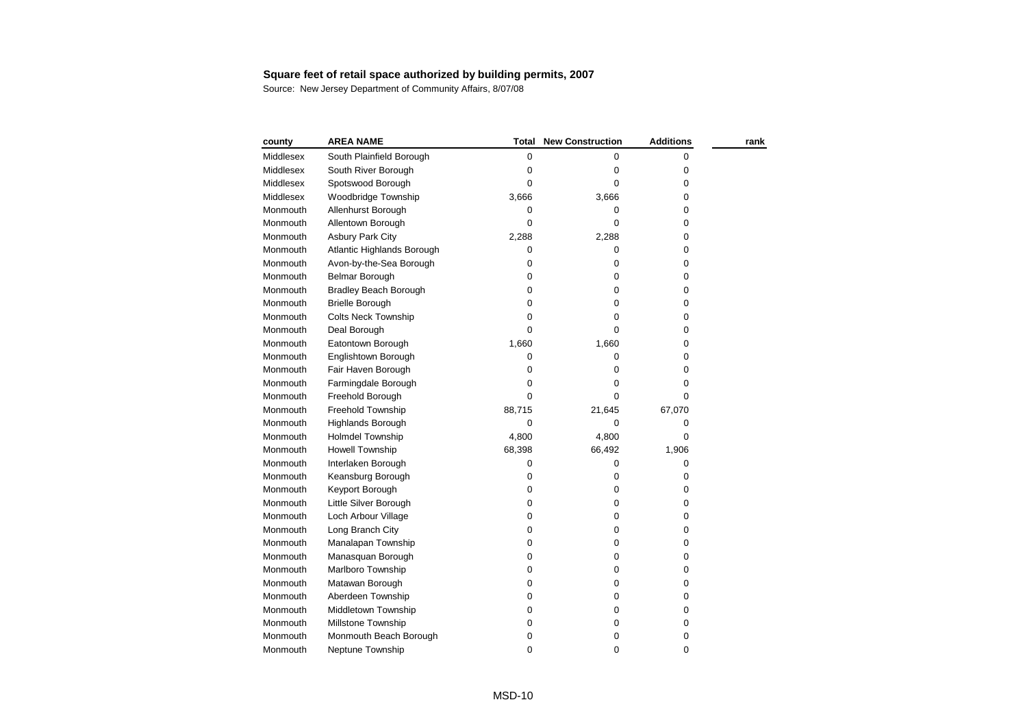| county           | <b>AREA NAME</b>           | <b>Total</b> | <b>New Construction</b> | <b>Additions</b> | rank |
|------------------|----------------------------|--------------|-------------------------|------------------|------|
| Middlesex        | South Plainfield Borough   | 0            | 0                       | 0                |      |
| <b>Middlesex</b> | South River Borough        | 0            | 0                       | 0                |      |
| Middlesex        | Spotswood Borough          | 0            | 0                       | 0                |      |
| Middlesex        | Woodbridge Township        | 3,666        | 3,666                   | 0                |      |
| Monmouth         | Allenhurst Borough         | 0            | 0                       | 0                |      |
| Monmouth         | Allentown Borough          | 0            | 0                       | 0                |      |
| Monmouth         | <b>Asbury Park City</b>    | 2,288        | 2,288                   | 0                |      |
| Monmouth         | Atlantic Highlands Borough | 0            | 0                       | 0                |      |
| Monmouth         | Avon-by-the-Sea Borough    | 0            | 0                       | 0                |      |
| Monmouth         | <b>Belmar Borough</b>      | 0            | $\pmb{0}$               | 0                |      |
| Monmouth         | Bradley Beach Borough      | 0            | 0                       | 0                |      |
| Monmouth         | <b>Brielle Borough</b>     | 0            | 0                       | 0                |      |
| Monmouth         | <b>Colts Neck Township</b> | 0            | 0                       | 0                |      |
| Monmouth         | Deal Borough               | $\Omega$     | 0                       | 0                |      |
| Monmouth         | Eatontown Borough          | 1,660        | 1,660                   | 0                |      |
| Monmouth         | Englishtown Borough        | 0            | 0                       | 0                |      |
| Monmouth         | Fair Haven Borough         | 0            | 0                       | 0                |      |
| Monmouth         | Farmingdale Borough        | 0            | 0                       | 0                |      |
| Monmouth         | Freehold Borough           | 0            | 0                       | 0                |      |
| Monmouth         | Freehold Township          | 88,715       | 21,645                  | 67,070           |      |
| Monmouth         | Highlands Borough          | 0            | 0                       | 0                |      |
| Monmouth         | <b>Holmdel Township</b>    | 4,800        | 4,800                   | 0                |      |
| Monmouth         | <b>Howell Township</b>     | 68,398       | 66,492                  | 1,906            |      |
| Monmouth         | Interlaken Borough         | 0            | 0                       | 0                |      |
| Monmouth         | Keansburg Borough          | 0            | 0                       | 0                |      |
| Monmouth         | Keyport Borough            | 0            | 0                       | 0                |      |
| Monmouth         | Little Silver Borough      | 0            | $\pmb{0}$               | 0                |      |
| Monmouth         | Loch Arbour Village        | 0            | 0                       | 0                |      |
| Monmouth         | Long Branch City           | 0            | 0                       | 0                |      |
| Monmouth         | Manalapan Township         | 0            | 0                       | 0                |      |
| Monmouth         | Manasquan Borough          | 0            | 0                       | 0                |      |
| Monmouth         | Marlboro Township          | 0            | 0                       | 0                |      |
| Monmouth         | Matawan Borough            | 0            | $\pmb{0}$               | 0                |      |
| Monmouth         | Aberdeen Township          | 0            | 0                       | 0                |      |
| Monmouth         | Middletown Township        | 0            | 0                       | 0                |      |
| Monmouth         | Millstone Township         | 0            | 0                       | 0                |      |
| Monmouth         | Monmouth Beach Borough     | 0            | 0                       | 0                |      |
| Monmouth         | Neptune Township           | 0            | 0                       | 0                |      |
|                  |                            |              |                         |                  |      |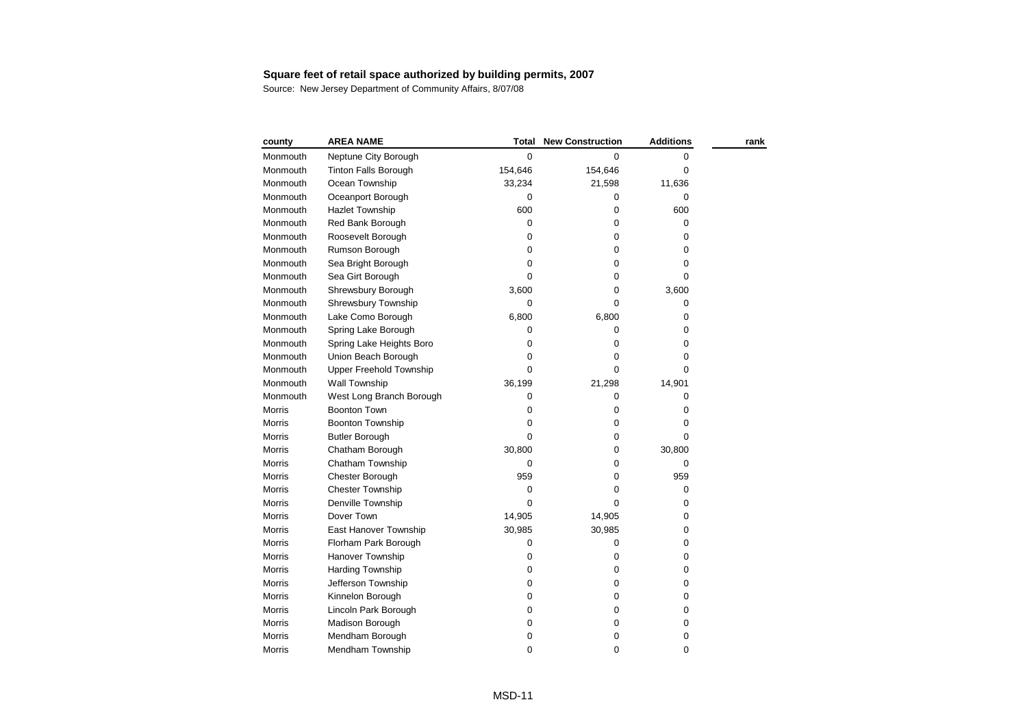| county        | <b>AREA NAME</b>            | Total       | <b>New Construction</b> | <b>Additions</b> | rank |
|---------------|-----------------------------|-------------|-------------------------|------------------|------|
| Monmouth      | Neptune City Borough        | 0           | 0                       | 0                |      |
| Monmouth      | <b>Tinton Falls Borough</b> | 154,646     | 154,646                 | 0                |      |
| Monmouth      | Ocean Township              | 33,234      | 21,598                  | 11,636           |      |
| Monmouth      | Oceanport Borough           | 0           | 0                       | 0                |      |
| Monmouth      | <b>Hazlet Township</b>      | 600         | 0                       | 600              |      |
| Monmouth      | Red Bank Borough            | 0           | 0                       | 0                |      |
| Monmouth      | Roosevelt Borough           | 0           | 0                       | 0                |      |
| Monmouth      | Rumson Borough              | 0           | 0                       | 0                |      |
| Monmouth      | Sea Bright Borough          | 0           | 0                       | 0                |      |
| Monmouth      | Sea Girt Borough            | $\mathbf 0$ | 0                       | 0                |      |
| Monmouth      | Shrewsbury Borough          | 3,600       | 0                       | 3,600            |      |
| Monmouth      | Shrewsbury Township         | $\mathbf 0$ | $\mathbf 0$             | 0                |      |
| Monmouth      | Lake Como Borough           | 6,800       | 6,800                   | 0                |      |
| Monmouth      | Spring Lake Borough         | 0           | 0                       | 0                |      |
| Monmouth      | Spring Lake Heights Boro    | 0           | 0                       | 0                |      |
| Monmouth      | Union Beach Borough         | 0           | 0                       | 0                |      |
| Monmouth      | Upper Freehold Township     | 0           | 0                       | 0                |      |
| Monmouth      | Wall Township               | 36,199      | 21,298                  | 14,901           |      |
| Monmouth      | West Long Branch Borough    | 0           | 0                       | 0                |      |
| Morris        | <b>Boonton Town</b>         | 0           | 0                       | 0                |      |
| Morris        | <b>Boonton Township</b>     | 0           | 0                       | 0                |      |
| Morris        | <b>Butler Borough</b>       | 0           | 0                       | 0                |      |
| Morris        | Chatham Borough             | 30,800      | 0                       | 30,800           |      |
| Morris        | Chatham Township            | 0           | 0                       | 0                |      |
| <b>Morris</b> | Chester Borough             | 959         | 0                       | 959              |      |
| Morris        | <b>Chester Township</b>     | $\mathbf 0$ | 0                       | 0                |      |
| Morris        | Denville Township           | $\Omega$    | 0                       | 0                |      |
| <b>Morris</b> | Dover Town                  | 14,905      | 14,905                  | 0                |      |
| Morris        | East Hanover Township       | 30,985      | 30,985                  | 0                |      |
| Morris        | Florham Park Borough        | $\pmb{0}$   | 0                       | 0                |      |
| <b>Morris</b> | Hanover Township            | 0           | 0                       | 0                |      |
| Morris        | Harding Township            | 0           | 0                       | 0                |      |
| Morris        | Jefferson Township          | 0           | 0                       | 0                |      |
| <b>Morris</b> | Kinnelon Borough            | 0           | 0                       | 0                |      |
| Morris        | Lincoln Park Borough        | 0           | 0                       | 0                |      |
| Morris        | Madison Borough             | 0           | 0                       | 0                |      |
| <b>Morris</b> | Mendham Borough             | $\mathbf 0$ | 0                       | 0                |      |
| Morris        | Mendham Township            | 0           | 0                       | 0                |      |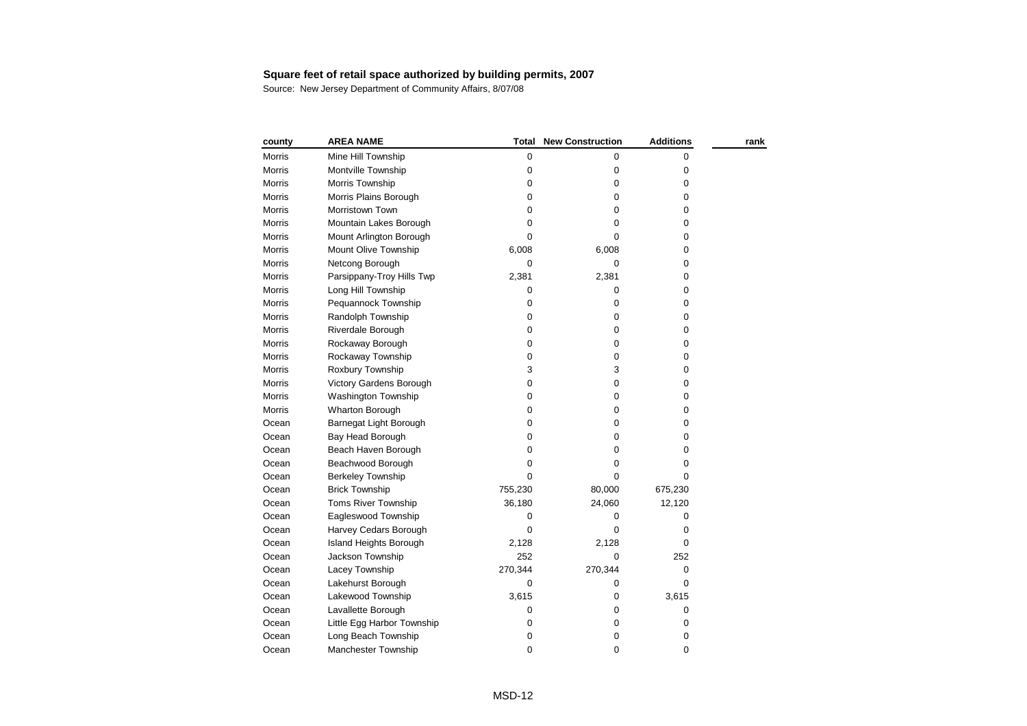| county        | <b>AREA NAME</b>           | Total       | <b>New Construction</b> | <b>Additions</b> | rank |
|---------------|----------------------------|-------------|-------------------------|------------------|------|
| Morris        | Mine Hill Township         | 0           | 0                       | 0                |      |
| Morris        | Montville Township         | 0           | 0                       | 0                |      |
| Morris        | Morris Township            | 0           | 0                       | 0                |      |
| Morris        | Morris Plains Borough      | 0           | 0                       | 0                |      |
| Morris        | Morristown Town            | 0           | 0                       | 0                |      |
| <b>Morris</b> | Mountain Lakes Borough     | 0           | 0                       | 0                |      |
| Morris        | Mount Arlington Borough    | $\mathbf 0$ | 0                       | 0                |      |
| Morris        | Mount Olive Township       | 6,008       | 6,008                   | 0                |      |
| Morris        | Netcong Borough            | 0           | 0                       | 0                |      |
| Morris        | Parsippany-Troy Hills Twp  | 2,381       | 2,381                   | 0                |      |
| Morris        | Long Hill Township         | 0           | 0                       | 0                |      |
| Morris        | Pequannock Township        | 0           | 0                       | 0                |      |
| Morris        | Randolph Township          | $\pmb{0}$   | 0                       | 0                |      |
| Morris        | Riverdale Borough          | 0           | 0                       | 0                |      |
| Morris        | Rockaway Borough           | $\pmb{0}$   | 0                       | 0                |      |
| Morris        | Rockaway Township          | 0           | 0                       | 0                |      |
| Morris        | Roxbury Township           | 3           | 3                       | 0                |      |
| Morris        | Victory Gardens Borough    | 0           | 0                       | 0                |      |
| <b>Morris</b> | <b>Washington Township</b> | 0           | 0                       | 0                |      |
| Morris        | Wharton Borough            | 0           | 0                       | 0                |      |
| Ocean         | Barnegat Light Borough     | 0           | 0                       | 0                |      |
| Ocean         | Bay Head Borough           | 0           | 0                       | 0                |      |
| Ocean         | Beach Haven Borough        | 0           | 0                       | 0                |      |
| Ocean         | Beachwood Borough          | 0           | 0                       | 0                |      |
| Ocean         | <b>Berkeley Township</b>   | 0           | 0                       | 0                |      |
| Ocean         | <b>Brick Township</b>      | 755,230     | 80,000                  | 675,230          |      |
| Ocean         | <b>Toms River Township</b> | 36,180      | 24,060                  | 12,120           |      |
| Ocean         | Eagleswood Township        | 0           | 0                       | 0                |      |
| Ocean         | Harvey Cedars Borough      | $\Omega$    | 0                       | 0                |      |
| Ocean         | Island Heights Borough     | 2,128       | 2,128                   | 0                |      |
| Ocean         | Jackson Township           | 252         | 0                       | 252              |      |
| Ocean         | Lacey Township             | 270,344     | 270,344                 | 0                |      |
| Ocean         | Lakehurst Borough          | 0           | 0                       | 0                |      |
| Ocean         | Lakewood Township          | 3,615       | 0                       | 3,615            |      |
| Ocean         | Lavallette Borough         | 0           | 0                       | 0                |      |
| Ocean         | Little Egg Harbor Township | 0           | 0                       | 0                |      |
| Ocean         | Long Beach Township        | 0           | 0                       | 0                |      |
| Ocean         | Manchester Township        | 0           | 0                       | 0                |      |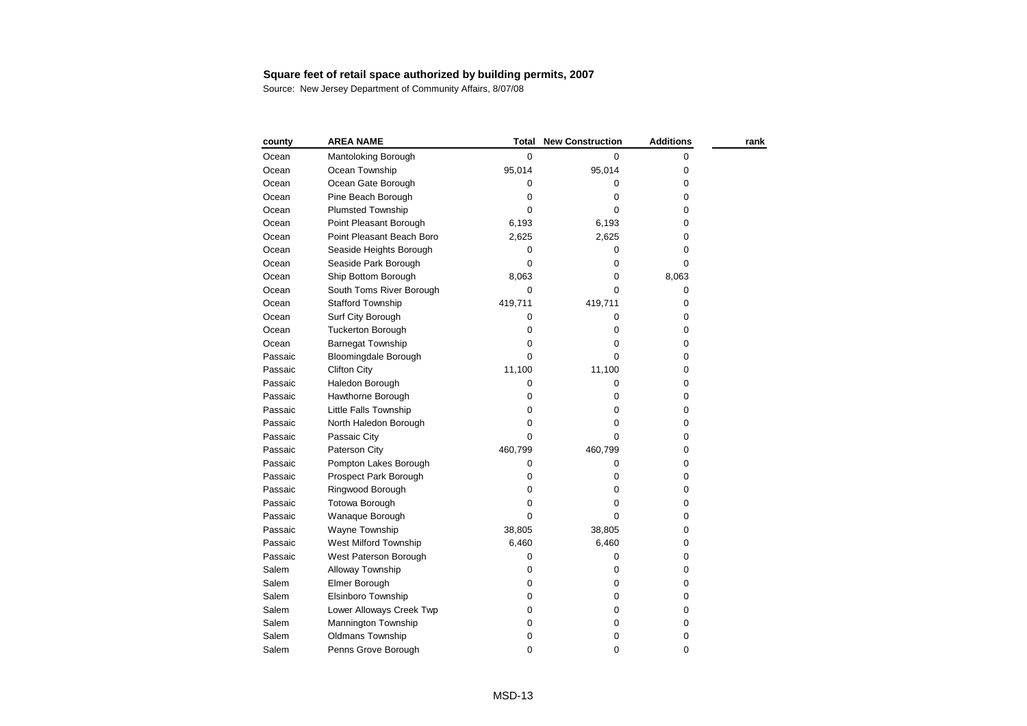| county  | <b>AREA NAME</b>            | Total       | <b>New Construction</b> | <b>Additions</b> | rank |
|---------|-----------------------------|-------------|-------------------------|------------------|------|
| Ocean   | Mantoloking Borough         | 0           | 0                       | 0                |      |
| Ocean   | Ocean Township              | 95,014      | 95,014                  | 0                |      |
| Ocean   | Ocean Gate Borough          | 0           | 0                       | 0                |      |
| Ocean   | Pine Beach Borough          | 0           | 0                       | 0                |      |
| Ocean   | <b>Plumsted Township</b>    | $\Omega$    | 0                       | 0                |      |
| Ocean   | Point Pleasant Borough      | 6,193       | 6,193                   | 0                |      |
| Ocean   | Point Pleasant Beach Boro   | 2,625       | 2,625                   | 0                |      |
| Ocean   | Seaside Heights Borough     | 0           | 0                       | 0                |      |
| Ocean   | Seaside Park Borough        | $\Omega$    | 0                       | 0                |      |
| Ocean   | Ship Bottom Borough         | 8,063       | 0                       | 8,063            |      |
| Ocean   | South Toms River Borough    | 0           | 0                       | 0                |      |
| Ocean   | <b>Stafford Township</b>    | 419,711     | 419,711                 | 0                |      |
| Ocean   | Surf City Borough           | 0           | 0                       | 0                |      |
| Ocean   | <b>Tuckerton Borough</b>    | 0           | 0                       | 0                |      |
| Ocean   | <b>Barnegat Township</b>    | 0           | 0                       | 0                |      |
| Passaic | <b>Bloomingdale Borough</b> | 0           | 0                       | 0                |      |
| Passaic | <b>Clifton City</b>         | 11,100      | 11,100                  | 0                |      |
| Passaic | Haledon Borough             | 0           | 0                       | 0                |      |
| Passaic | Hawthorne Borough           | 0           | 0                       | 0                |      |
| Passaic | Little Falls Township       | 0           | 0                       | 0                |      |
| Passaic | North Haledon Borough       | 0           | 0                       | 0                |      |
| Passaic | Passaic City                | 0           | 0                       | 0                |      |
| Passaic | Paterson City               | 460,799     | 460,799                 | 0                |      |
| Passaic | Pompton Lakes Borough       | 0           | 0                       | 0                |      |
| Passaic | Prospect Park Borough       | 0           | 0                       | 0                |      |
| Passaic | Ringwood Borough            | $\mathbf 0$ | 0                       | 0                |      |
| Passaic | <b>Totowa Borough</b>       | $\pmb{0}$   | 0                       | 0                |      |
| Passaic | Wanaque Borough             | $\Omega$    | 0                       | 0                |      |
| Passaic | Wayne Township              | 38,805      | 38,805                  | 0                |      |
| Passaic | West Milford Township       | 6,460       | 6,460                   | 0                |      |
| Passaic | West Paterson Borough       | 0           | 0                       | 0                |      |
| Salem   | Alloway Township            | 0           | 0                       | 0                |      |
| Salem   | Elmer Borough               | 0           | 0                       | 0                |      |
| Salem   | Elsinboro Township          | 0           | 0                       | 0                |      |
| Salem   | Lower Alloways Creek Twp    | 0           | 0                       | 0                |      |
| Salem   | Mannington Township         | 0           | 0                       | 0                |      |
| Salem   | <b>Oldmans Township</b>     | 0           | 0                       | 0                |      |
| Salem   | Penns Grove Borough         | 0           | 0                       | 0                |      |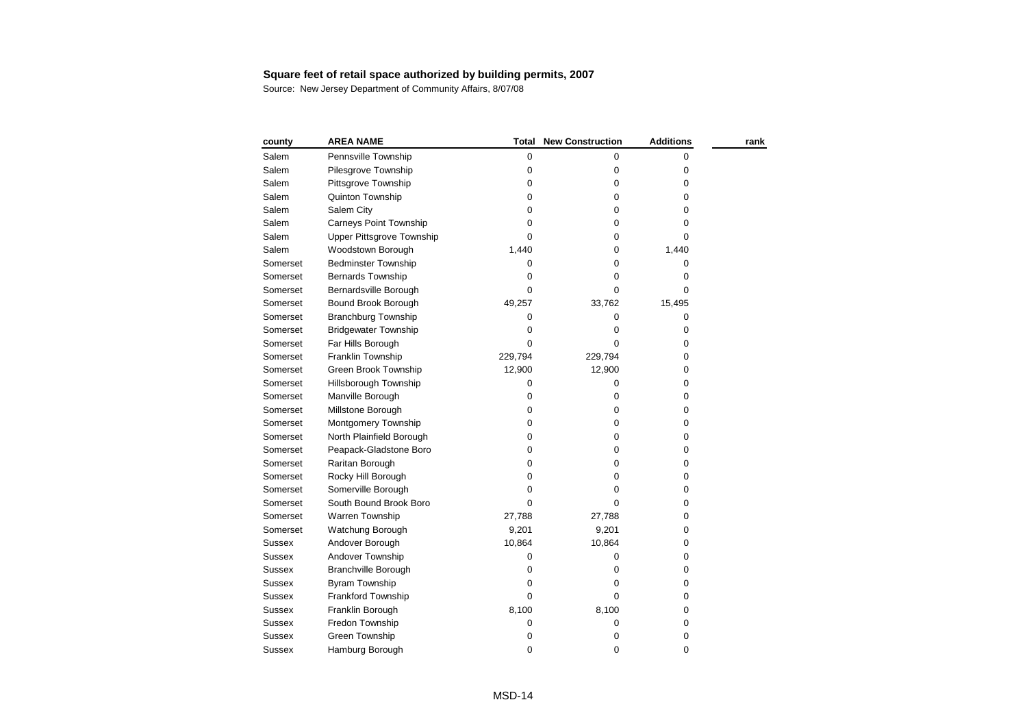| county        | <b>AREA NAME</b>                 | Total       | <b>New Construction</b> | <b>Additions</b> | rank |
|---------------|----------------------------------|-------------|-------------------------|------------------|------|
| Salem         | Pennsville Township              | 0           | 0                       | 0                |      |
| Salem         | Pilesgrove Township              | 0           | 0                       | 0                |      |
| Salem         | Pittsgrove Township              | 0           | 0                       | 0                |      |
| Salem         | Quinton Township                 | 0           | 0                       | 0                |      |
| Salem         | Salem City                       | 0           | 0                       | 0                |      |
| Salem         | <b>Carneys Point Township</b>    | 0           | 0                       | 0                |      |
| Salem         | <b>Upper Pittsgrove Township</b> | 0           | 0                       | 0                |      |
| Salem         | Woodstown Borough                | 1,440       | 0                       | 1,440            |      |
| Somerset      | <b>Bedminster Township</b>       | 0           | 0                       | 0                |      |
| Somerset      | <b>Bernards Township</b>         | 0           | 0                       | 0                |      |
| Somerset      | Bernardsville Borough            | 0           | 0                       | 0                |      |
| Somerset      | Bound Brook Borough              | 49,257      | 33,762                  | 15,495           |      |
| Somerset      | <b>Branchburg Township</b>       | 0           | 0                       | $\pmb{0}$        |      |
| Somerset      | <b>Bridgewater Township</b>      | 0           | 0                       | 0                |      |
| Somerset      | Far Hills Borough                | 0           | 0                       | 0                |      |
| Somerset      | Franklin Township                | 229,794     | 229,794                 | 0                |      |
| Somerset      | Green Brook Township             | 12,900      | 12,900                  | 0                |      |
| Somerset      | Hillsborough Township            | 0           | 0                       | 0                |      |
| Somerset      | Manville Borough                 | 0           | 0                       | 0                |      |
| Somerset      | Millstone Borough                | 0           | 0                       | 0                |      |
| Somerset      | Montgomery Township              | 0           | 0                       | 0                |      |
| Somerset      | North Plainfield Borough         | 0           | 0                       | 0                |      |
| Somerset      | Peapack-Gladstone Boro           | 0           | 0                       | 0                |      |
| Somerset      | Raritan Borough                  | 0           | 0                       | 0                |      |
| Somerset      | Rocky Hill Borough               | 0           | 0                       | 0                |      |
| Somerset      | Somerville Borough               | $\mathbf 0$ | 0                       | $\pmb{0}$        |      |
| Somerset      | South Bound Brook Boro           | 0           | 0                       | 0                |      |
| Somerset      | <b>Warren Township</b>           | 27,788      | 27,788                  | 0                |      |
| Somerset      | Watchung Borough                 | 9,201       | 9,201                   | 0                |      |
| <b>Sussex</b> | Andover Borough                  | 10,864      | 10,864                  | 0                |      |
| <b>Sussex</b> | Andover Township                 | 0           | 0                       | 0                |      |
| <b>Sussex</b> | <b>Branchville Borough</b>       | 0           | 0                       | 0                |      |
| Sussex        | <b>Byram Township</b>            | 0           | 0                       | 0                |      |
| <b>Sussex</b> | Frankford Township               | 0           | 0                       | 0                |      |
| Sussex        | Franklin Borough                 | 8,100       | 8,100                   | 0                |      |
| Sussex        | Fredon Township                  | 0           | 0                       | 0                |      |
| <b>Sussex</b> | Green Township                   | 0           | 0                       | 0                |      |
| Sussex        | Hamburg Borough                  | 0           | 0                       | 0                |      |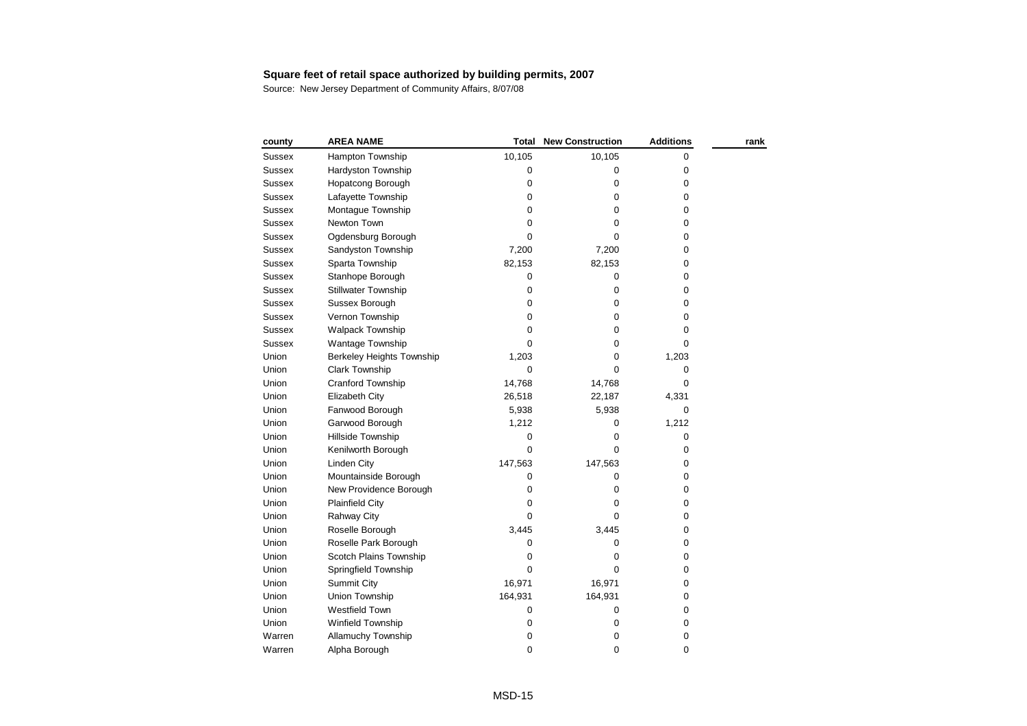| county        | <b>AREA NAME</b>           | Total       | <b>New Construction</b> | <b>Additions</b> | rank |
|---------------|----------------------------|-------------|-------------------------|------------------|------|
| Sussex        | Hampton Township           | 10,105      | 10,105                  | 0                |      |
| <b>Sussex</b> | Hardyston Township         | 0           | 0                       | 0                |      |
| <b>Sussex</b> | Hopatcong Borough          | 0           | 0                       | 0                |      |
| <b>Sussex</b> | Lafayette Township         | $\pmb{0}$   | 0                       | 0                |      |
| <b>Sussex</b> | Montague Township          | 0           | 0                       | 0                |      |
| Sussex        | Newton Town                | 0           | 0                       | 0                |      |
| <b>Sussex</b> | Ogdensburg Borough         | $\mathbf 0$ | 0                       | 0                |      |
| <b>Sussex</b> | Sandyston Township         | 7,200       | 7,200                   | 0                |      |
| <b>Sussex</b> | Sparta Township            | 82,153      | 82,153                  | 0                |      |
| <b>Sussex</b> | Stanhope Borough           | $\pmb{0}$   | 0                       | 0                |      |
| Sussex        | <b>Stillwater Township</b> | $\pmb{0}$   | 0                       | 0                |      |
| <b>Sussex</b> | Sussex Borough             | $\mathbf 0$ | 0                       | 0                |      |
| <b>Sussex</b> | Vernon Township            | 0           | 0                       | 0                |      |
| <b>Sussex</b> | <b>Walpack Township</b>    | 0           | 0                       | 0                |      |
| <b>Sussex</b> | Wantage Township           | $\Omega$    | 0                       | 0                |      |
| Union         | Berkeley Heights Township  | 1,203       | 0                       | 1,203            |      |
| Union         | Clark Township             | 0           | 0                       | 0                |      |
| Union         | Cranford Township          | 14,768      | 14,768                  | 0                |      |
| Union         | Elizabeth City             | 26,518      | 22,187                  | 4,331            |      |
| Union         | Fanwood Borough            | 5,938       | 5,938                   | 0                |      |
| Union         | Garwood Borough            | 1,212       | 0                       | 1,212            |      |
| Union         | Hillside Township          | 0           | 0                       | 0                |      |
| Union         | Kenilworth Borough         | $\mathbf 0$ | 0                       | 0                |      |
| Union         | <b>Linden City</b>         | 147,563     | 147,563                 | 0                |      |
| Union         | Mountainside Borough       | 0           | 0                       | 0                |      |
| Union         | New Providence Borough     | 0           | 0                       | 0                |      |
| Union         | <b>Plainfield City</b>     | 0           | 0                       | 0                |      |
| Union         | Rahway City                | 0           | 0                       | 0                |      |
| Union         | Roselle Borough            | 3,445       | 3,445                   | 0                |      |
| Union         | Roselle Park Borough       | 0           | 0                       | 0                |      |
| Union         | Scotch Plains Township     | 0           | 0                       | 0                |      |
| Union         | Springfield Township       | $\mathbf 0$ | $\mathbf 0$             | 0                |      |
| Union         | <b>Summit City</b>         | 16,971      | 16,971                  | 0                |      |
| Union         | Union Township             | 164,931     | 164,931                 | 0                |      |
| Union         | <b>Westfield Town</b>      | 0           | 0                       | 0                |      |
| Union         | Winfield Township          | 0           | $\pmb{0}$               | 0                |      |
| Warren        | <b>Allamuchy Township</b>  | 0           | 0                       | 0                |      |
| Warren        | Alpha Borough              | 0           | 0                       | 0                |      |